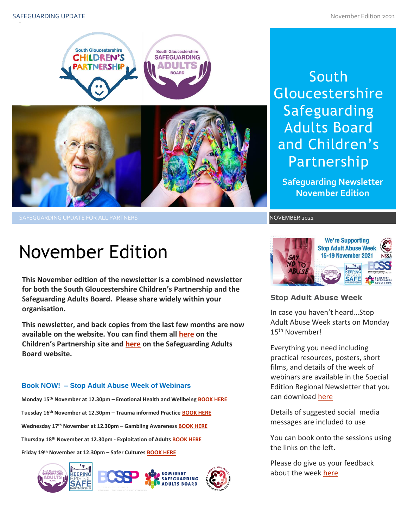

SAFEGUARDING UPDATE FOR ALL PARTNERS NOVEMBER 2021

# South **Gloucestershire** Safeguarding Adults Board and Children's Partnership

**Safeguarding Newsletter November Edition**

# November Edition

**This November edition of the newsletter is a combined newsletter for both the South Gloucestershire Children's Partnership and the Safeguarding Adults Board. Please share widely within your organisation.**

**This newsletter, and back copies from the last few months are now available on the website. You can find them all [here](https://sites.southglos.gov.uk/safeguarding/children/safeguarding-children-board/scb-minutes-of-meetings/) on the Children's Partnership site and [here](https://sites.southglos.gov.uk/safeguarding/adults/safeguarding-adults-board/newsletters-2/) on the Safeguarding Adults Board website.**

### **Book NOW! – Stop Adult Abuse Week of Webinars**

**Monday 15th November at 12.30pm – Emotional Health and Wellbeing [BOOK HERE](https://www.eventbrite.co.uk/e/165751010735) Tuesday 16th November at 12.30pm – Trauma informed Practice [BOOK HERE](https://www.eventbrite.co.uk/e/165776338491) Wednesday 17th November at 12.30pm – Gambling Awareness [BOOK HERE](https://www.eventbrite.co.uk/e/166286432195) Thursday 18th November at 12.30pm - Exploitation of Adults [BOOK HERE](https://www.eventbrite.co.uk/e/166292123217) Friday 19th November at 12.30pm – Safer Cultures [BOOK HERE](https://www.eventbrite.co.uk/e/166292349895)**





### **Stop Adult Abuse Week**

In case you haven't heard…Stop Adult Abuse Week starts on Monday 15th November!

Everything you need including practical resources, posters, short films, and details of the week of webinars are available in the Special Edition Regional Newsletter that you can download here

can dowmoad *nere*<br>Details of suggested social media messages are included to use

You can book onto the sessions using the links on the left.

Please do give us your feedback about the week [here](mailto:sarah.taylor2@southglos.gov.uk?subject=Stop%20Adult%20Abuse%20Week%20Feedback)